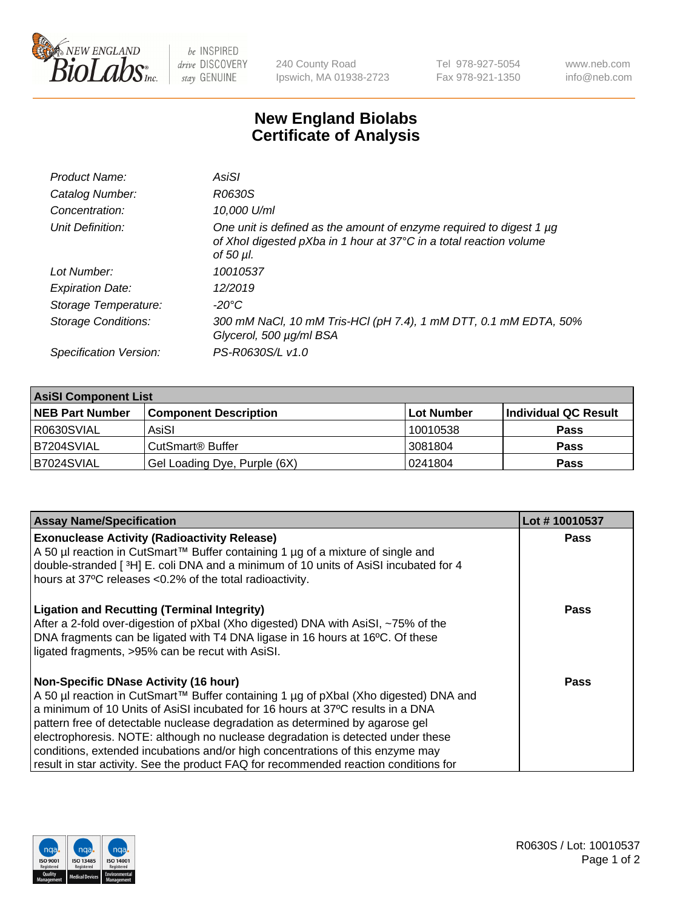

 $be$  INSPIRED drive DISCOVERY stay GENUINE

240 County Road Ipswich, MA 01938-2723 Tel 978-927-5054 Fax 978-921-1350 www.neb.com info@neb.com

## **New England Biolabs Certificate of Analysis**

| Product Name:              | AsiSI                                                                                                                                                       |
|----------------------------|-------------------------------------------------------------------------------------------------------------------------------------------------------------|
| Catalog Number:            | R0630S                                                                                                                                                      |
| Concentration:             | 10,000 U/ml                                                                                                                                                 |
| Unit Definition:           | One unit is defined as the amount of enzyme required to digest 1 µg<br>of Xhol digested pXba in 1 hour at 37°C in a total reaction volume<br>of 50 $\mu$ l. |
| Lot Number:                | 10010537                                                                                                                                                    |
| <b>Expiration Date:</b>    | 12/2019                                                                                                                                                     |
| Storage Temperature:       | -20°C                                                                                                                                                       |
| <b>Storage Conditions:</b> | 300 mM NaCl, 10 mM Tris-HCl (pH 7.4), 1 mM DTT, 0.1 mM EDTA, 50%<br>Glycerol, 500 µg/ml BSA                                                                 |
| Specification Version:     | PS-R0630S/L v1.0                                                                                                                                            |
|                            |                                                                                                                                                             |

| <b>AsiSI Component List</b> |                              |            |                      |  |
|-----------------------------|------------------------------|------------|----------------------|--|
| <b>NEB Part Number</b>      | <b>Component Description</b> | Lot Number | Individual QC Result |  |
| R0630SVIAL                  | AsiSI                        | 10010538   | <b>Pass</b>          |  |
| B7204SVIAL                  | CutSmart <sup>®</sup> Buffer | 13081804   | <b>Pass</b>          |  |
| B7024SVIAL                  | Gel Loading Dye, Purple (6X) | 10241804   | <b>Pass</b>          |  |

| <b>Assay Name/Specification</b>                                                                                                        | Lot #10010537 |
|----------------------------------------------------------------------------------------------------------------------------------------|---------------|
| <b>Exonuclease Activity (Radioactivity Release)</b><br>A 50 µl reaction in CutSmart™ Buffer containing 1 µg of a mixture of single and | <b>Pass</b>   |
| double-stranded [3H] E. coli DNA and a minimum of 10 units of AsiSI incubated for 4                                                    |               |
| hours at 37°C releases <0.2% of the total radioactivity.                                                                               |               |
| <b>Ligation and Recutting (Terminal Integrity)</b>                                                                                     | Pass          |
| After a 2-fold over-digestion of pXbal (Xho digested) DNA with AsiSI, ~75% of the                                                      |               |
| DNA fragments can be ligated with T4 DNA ligase in 16 hours at 16°C. Of these<br>ligated fragments, >95% can be recut with AsiSI.      |               |
|                                                                                                                                        |               |
| <b>Non-Specific DNase Activity (16 hour)</b>                                                                                           | Pass          |
| A 50 µl reaction in CutSmart™ Buffer containing 1 µg of pXbal (Xho digested) DNA and                                                   |               |
| a minimum of 10 Units of AsiSI incubated for 16 hours at 37°C results in a DNA                                                         |               |
| pattern free of detectable nuclease degradation as determined by agarose gel                                                           |               |
| electrophoresis. NOTE: although no nuclease degradation is detected under these                                                        |               |
| conditions, extended incubations and/or high concentrations of this enzyme may                                                         |               |
| result in star activity. See the product FAQ for recommended reaction conditions for                                                   |               |